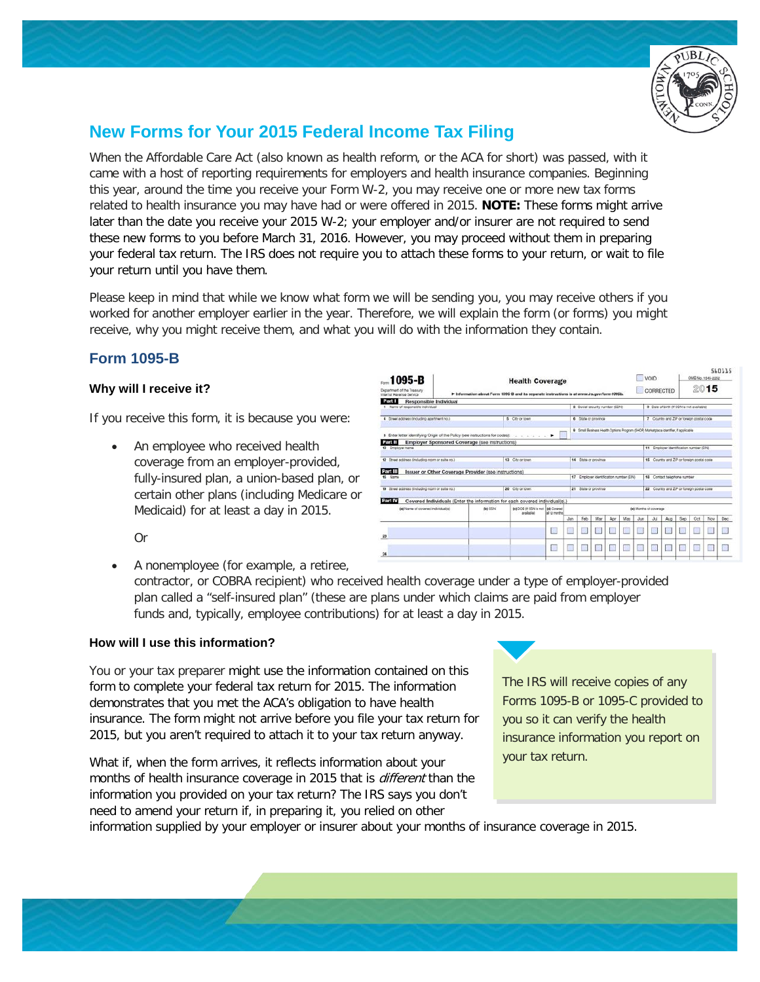

# **New Forms for Your 2015 Federal Income Tax Filing**

When the Affordable Care Act (also known as health reform, or the ACA for short) was passed, with it came with a host of reporting requirements for employers and health insurance companies. Beginning this year, around the time you receive your Form W-2, you may receive one or more new tax forms related to health insurance you may have had or were offered in 2015. **NOTE:** These forms might arrive later than the date you receive your 2015 W-2; your employer and/or insurer are not required to send these new forms to you before March 31, 2016. However, you may proceed without them in preparing your federal tax return. The IRS does not require you to attach these forms to your return, or wait to file your return until you have them.

Please keep in mind that while we know what form we will be sending you, you may receive others if you worked for another employer earlier in the year. Therefore, we will explain the form (or forms) you might receive, why you might receive them, and what you will do with the information they contain.

# **Form 1095-B**

## **Why will I receive it?**

Or

If you receive this form, it is because you were:

• An employee who received health coverage from an employer-provided, fully-insured plan, a union-based plan, or certain other plans (including Medicare or Medicaid) for at least a day in 2015.

560115  $\Box$  VOID CMB No. 1545-2252  $-1095 - B$ **Health Coverage** 2015 CORRECTED about Form 1095-B and its separate instructions is at www.ins.gov/form 1095b. Part I Responsible Individual 2 Social security number (SSN) 3 Date of birth (if SSN is not available) 4 Street address including apartment no 6 State or province 5 Churchise 7 Country and 700 or freedom norshall nock 0 Small But in of the Policy (see instructions for codes). **Part II** Employer Sponsored Coverage (see instructions) 11 Centrus identification rumber (CIN) 12 Street address (including room or suite no.) 13 City or town 14 State or province 15 Country and ZIP or foreign postal code **PartIII** Issuer or Other Coverage Provider (see instructions) 17 Employer identification number (EN) 58 Contact telephone number 19 Street address (including room or suite no.) 20 City or town 21 State or province 22 Country and ZIP or foreign postal cod **Petral / Covered Individuals (Enter the information for each covered individual(s).) BISSN** (e) DOG (# SSN is not | (d) Covered<br>available<br>al 12 months (e) Months of coverag Jan Feb Mar Apr May Jun Jul Aug Sep Oct Nov Dec . . . . . . . . . . . .  $23$ 8 8 8 8 8 8 8 8 8 8 8 8

24 • A nonemployee (for example, a retiree, contractor, or COBRA recipient) who received health coverage under a type of employer-provided plan called a "self-insured plan" (these are plans under which claims are paid from employer funds and, typically, employee contributions) for at least a day in 2015.

#### **How will I use this information?**

You or your tax preparer might use the information contained on this form to complete your federal tax return for 2015. The information demonstrates that you met the ACA's obligation to have health insurance. The form might not arrive before you file your tax return for 2015, but you aren't required to attach it to your tax return anyway.

What if, when the form arrives, it reflects information about your months of health insurance coverage in 2015 that is *different* than the information you provided on your tax return? The IRS says you don't need to amend your return if, in preparing it, you relied on other

The IRS will receive copies of any Forms 1095-B or 1095-C provided to you so it can verify the health insurance information you report on your tax return.

information supplied by your employer or insurer about your months of insurance coverage in 2015.